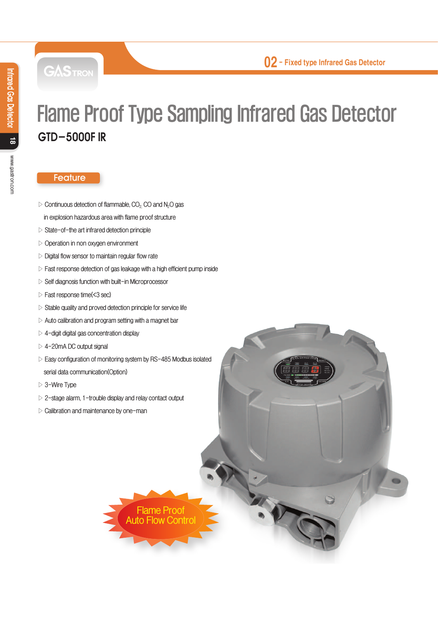**GASTRON** 

# Flame Proof Type Sampling Infrared Gas Detector GTD-5000F IR

#### **Feature**

- **▷ Continuous detection of flammable, CO2, CO and N2O gas**
- **in explosion hazardous area with flame proof structure**
- **▷ State-of-the art infrared detection principle**
- **▷ Operation in non oxygen environment**
- **▷ Digital flow sensor to maintain regular flow rate**
- **▷ Fast response detection of gas leakage with a high efficient pump inside**
- **▷ Self diagnosis function with built-in Microprocessor**
- **▷ Fast response time(<3 sec)**
- **▷ Stable quality and proved detection principle for service life**
- **▷ Auto calibration and program setting with a magnet bar**
- **▷ 4-digit digital gas concentration display**
- **▷ 4-20mA DC output signal**
- **▷ Easy configuration of monitoring system by RS-485 Modbus isolated serial data communication(Option)**
- **▷ 3-Wire Type**
- **▷ 2-stage alarm, 1-trouble display and relay contact output**
- **▷ Calibration and maintenance by one-man**